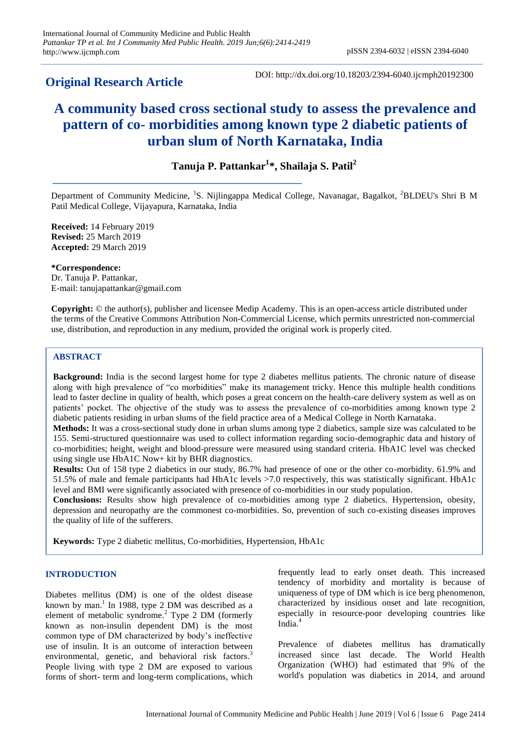# **Original Research Article**

DOI: http://dx.doi.org/10.18203/2394-6040.ijcmph20192300

# **A community based cross sectional study to assess the prevalence and pattern of co- morbidities among known type 2 diabetic patients of urban slum of North Karnataka, India**

# **Tanuja P. Pattankar<sup>1</sup> \*, Shailaja S. Patil<sup>2</sup>**

Department of Community Medicine, <sup>1</sup>S. Nijlingappa Medical College, Navanagar, Bagalkot, <sup>2</sup>BLDEU's Shri B M Patil Medical College, Vijayapura, Karnataka, India

**Received:** 14 February 2019 **Revised:** 25 March 2019 **Accepted:** 29 March 2019

**\*Correspondence:**

Dr. Tanuja P. Pattankar, E-mail: tanujapattankar@gmail.com

**Copyright:** © the author(s), publisher and licensee Medip Academy. This is an open-access article distributed under the terms of the Creative Commons Attribution Non-Commercial License, which permits unrestricted non-commercial use, distribution, and reproduction in any medium, provided the original work is properly cited.

# **ABSTRACT**

**Background:** India is the second largest home for type 2 diabetes mellitus patients. The chronic nature of disease along with high prevalence of "co morbidities" make its management tricky. Hence this multiple health conditions lead to faster decline in quality of health, which poses a great concern on the health-care delivery system as well as on patients' pocket. The objective of the study was to assess the prevalence of co-morbidities among known type 2 diabetic patients residing in urban slums of the field practice area of a Medical College in North Karnataka.

**Methods:** It was a cross-sectional study done in urban slums among type 2 diabetics, sample size was calculated to be 155. Semi-structured questionnaire was used to collect information regarding socio-demographic data and history of co-morbidities; height, weight and blood-pressure were measured using standard criteria. HbA1C level was checked using single use HbA1C Now+ kit by BHR diagnostics.

**Results:** Out of 158 type 2 diabetics in our study, 86.7% had presence of one or the other co-morbidity. 61.9% and 51.5% of male and female participants had HbA1c levels >7.0 respectively, this was statistically significant. HbA1c level and BMI were significantly associated with presence of co-morbidities in our study population.

**Conclusions:** Results show high prevalence of co-morbidities among type 2 diabetics. Hypertension, obesity, depression and neuropathy are the commonest co-morbidities. So, prevention of such co-existing diseases improves the quality of life of the sufferers.

**Keywords:** Type 2 diabetic mellitus, Co-morbidities, Hypertension, HbA1c

# **INTRODUCTION**

Diabetes mellitus (DM) is one of the oldest disease known by man. 1 In 1988, type 2 DM was described as a element of metabolic syndrome. <sup>2</sup> Type 2 DM (formerly known as non-insulin dependent DM) is the most common type of DM characterized by body's ineffective use of insulin. It is an outcome of interaction between environmental, genetic, and behavioral risk factors.<sup>3</sup> People living with type 2 DM are exposed to various forms of short- term and long-term complications, which frequently lead to early onset death. This increased tendency of morbidity and mortality is because of uniqueness of type of DM which is ice berg phenomenon, characterized by insidious onset and late recognition, especially in resource-poor developing countries like India.<sup>4</sup>

Prevalence of diabetes mellitus has dramatically increased since last decade. The World Health Organization (WHO) had estimated that 9% of the world's population was diabetics in 2014, and around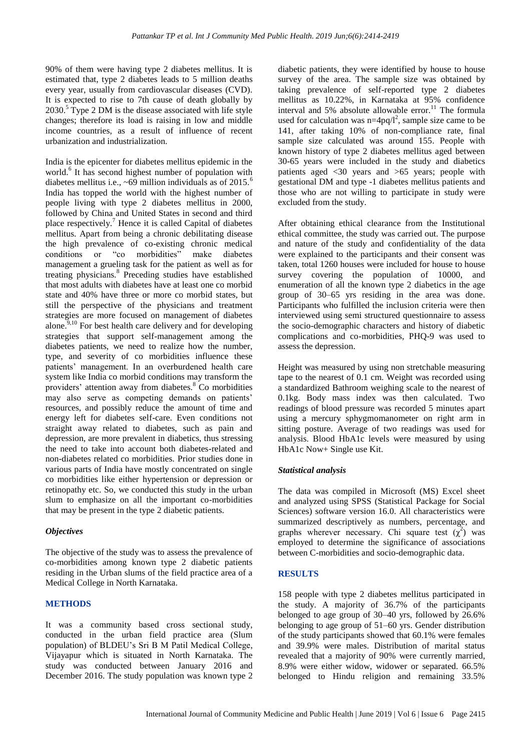90% of them were having type 2 diabetes mellitus. It is estimated that, type 2 diabetes leads to 5 million deaths every year, usually from cardiovascular diseases (CVD). It is expected to rise to 7th cause of death globally by  $2030<sup>5</sup>$  Type 2 DM is the disease associated with life style changes; therefore its load is raising in low and middle income countries, as a result of influence of recent urbanization and industrialization.

India is the epicenter for diabetes mellitus epidemic in the world.<sup>6</sup> It has second highest number of population with diabetes mellitus i.e.,  $\approx 69$  million individuals as of 2015.<sup>6</sup> India has topped the world with the highest number of people living with type 2 diabetes mellitus in 2000, followed by China and United States in second and third place respectively.<sup>7</sup> Hence it is called Capital of diabetes mellitus. Apart from being a chronic debilitating disease the high prevalence of co-existing chronic medical conditions or "co morbidities" make diabetes management a grueling task for the patient as well as for treating physicians.<sup>8</sup> Preceding studies have established that most adults with diabetes have at least one co morbid state and 40% have three or more co morbid states, but still the perspective of the physicians and treatment strategies are more focused on management of diabetes alone.<sup>9,10</sup> For best health care delivery and for developing strategies that support self-management among the diabetes patients, we need to realize how the number, type, and severity of co morbidities influence these patients' management. In an overburdened health care system like India co morbid conditions may transform the providers' attention away from diabetes.<sup>8</sup> Co morbidities may also serve as competing demands on patients' resources, and possibly reduce the amount of time and energy left for diabetes self-care. Even conditions not straight away related to diabetes, such as pain and depression, are more prevalent in diabetics, thus stressing the need to take into account both diabetes-related and non-diabetes related co morbidities. Prior studies done in various parts of India have mostly concentrated on single co morbidities like either hypertension or depression or retinopathy etc. So, we conducted this study in the urban slum to emphasize on all the important co-morbidities that may be present in the type 2 diabetic patients.

# *Objectives*

The objective of the study was to assess the prevalence of co-morbidities among known type 2 diabetic patients residing in the Urban slums of the field practice area of a Medical College in North Karnataka.

# **METHODS**

It was a community based cross sectional study, conducted in the urban field practice area (Slum population) of BLDEU's Sri B M Patil Medical College, Vijayapur which is situated in North Karnataka. The study was conducted between January 2016 and December 2016. The study population was known type 2 diabetic patients, they were identified by house to house survey of the area. The sample size was obtained by taking prevalence of self-reported type 2 diabetes mellitus as 10.22%, in Karnataka at 95% confidence interval and 5% absolute allowable error.<sup>11</sup> The formula used for calculation was  $n=4pq/l^2$ , sample size came to be 141, after taking 10% of non-compliance rate, final sample size calculated was around 155. People with known history of type 2 diabetes mellitus aged between 30-65 years were included in the study and diabetics patients aged <30 years and >65 years; people with gestational DM and type -1 diabetes mellitus patients and those who are not willing to participate in study were excluded from the study.

After obtaining ethical clearance from the Institutional ethical committee, the study was carried out. The purpose and nature of the study and confidentiality of the data were explained to the participants and their consent was taken, total 1260 houses were included for house to house survey covering the population of 10000, and enumeration of all the known type 2 diabetics in the age group of 30–65 yrs residing in the area was done. Participants who fulfilled the inclusion criteria were then interviewed using semi structured questionnaire to assess the socio-demographic characters and history of diabetic complications and co-morbidities, PHQ-9 was used to assess the depression.

Height was measured by using non stretchable measuring tape to the nearest of 0.1 cm. Weight was recorded using a standardized Bathroom weighing scale to the nearest of 0.1kg. Body mass index was then calculated. Two readings of blood pressure was recorded 5 minutes apart using a mercury sphygmomanometer on right arm in sitting posture. Average of two readings was used for analysis. Blood HbA1c levels were measured by using HbA1c Now+ Single use Kit.

# *Statistical analysis*

The data was compiled in Microsoft (MS) Excel sheet and analyzed using SPSS (Statistical Package for Social Sciences) software version 16.0. All characteristics were summarized descriptively as numbers, percentage, and graphs wherever necessary. Chi square test  $(\chi^2)$  was employed to determine the significance of associations between C-morbidities and socio-demographic data.

# **RESULTS**

158 people with type 2 diabetes mellitus participated in the study. A majority of 36.7% of the participants belonged to age group of 30–40 yrs, followed by 26.6% belonging to age group of 51–60 yrs. Gender distribution of the study participants showed that 60.1% were females and 39.9% were males. Distribution of marital status revealed that a majority of 90% were currently married, 8.9% were either widow, widower or separated. 66.5% belonged to Hindu religion and remaining 33.5%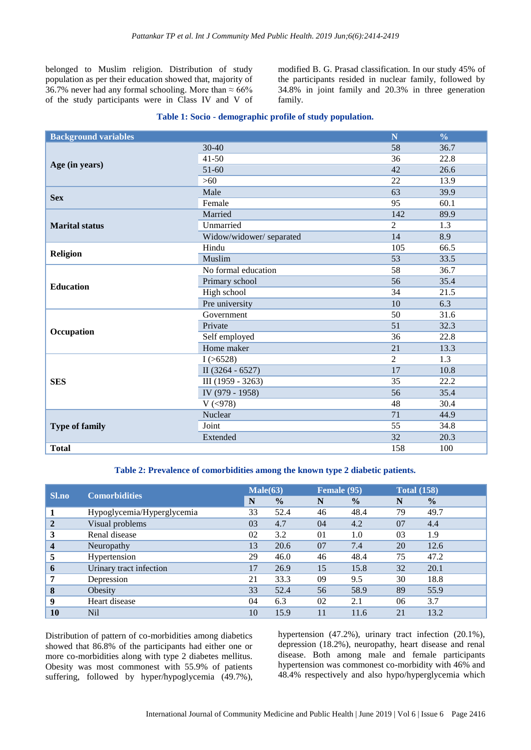belonged to Muslim religion. Distribution of study population as per their education showed that, majority of 36.7% never had any formal schooling. More than  $\approx 66\%$ of the study participants were in Class IV and V of modified B. G. Prasad classification. In our study 45% of the participants resided in nuclear family, followed by 34.8% in joint family and 20.3% in three generation family.

#### **Table 1: Socio - demographic profile of study population.**

| <b>Background variables</b> | N                       | $\frac{0}{0}$   |                  |
|-----------------------------|-------------------------|-----------------|------------------|
|                             | 30-40                   | 58              | 36.7             |
|                             | $41 - 50$               | 36              | 22.8             |
| Age (in years)              | $51-60$                 | 42              | 26.6             |
|                             | $>60$                   | 22              | 13.9             |
| <b>Sex</b>                  | Male                    | 63              | 39.9             |
|                             | Female                  | 95              | 60.1             |
|                             | Married                 | 142             | 89.9             |
| <b>Marital status</b>       | Unmarried               | $\overline{2}$  | 1.3              |
|                             | Widow/widower/separated | 14              | 8.9              |
| <b>Religion</b>             | Hindu                   | 105             | 66.5             |
|                             | <b>Muslim</b>           | $\overline{53}$ | 33.5             |
|                             | No formal education     | 58              | 36.7             |
| <b>Education</b>            | Primary school          | 56              | 35.4             |
|                             | High school             | 34              | 21.5             |
|                             | Pre university          | 10              | 6.3              |
|                             | Government              | 50              | 31.6             |
|                             | Private                 | 51              | 32.3             |
| Occupation                  | Self employed           | 36              | 22.8             |
|                             | Home maker              | 21              | 13.3             |
|                             | I(>6528)                | $\overline{2}$  | $\overline{1.3}$ |
| <b>SES</b>                  | II $(3264 - 6527)$      | 17              | 10.8             |
|                             | III (1959 - 3263)       | 35              | 22.2             |
|                             | IV (979 - 1958)         | 56              | 35.4             |
|                             | V ( < 978)              | 48              | 30.4             |
|                             | Nuclear                 | 71              | 44.9             |
| <b>Type of family</b>       | Joint                   | 55              | 34.8             |
|                             | Extended                | 32              | 20.3             |
| <b>Total</b>                |                         | 158             | 100              |

#### **Table 2: Prevalence of comorbidities among the known type 2 diabetic patients.**

| <b>Sl.no</b>   | <b>Comorbidities</b>       | Male(63) |               | Female (95)    |               | <b>Total (158)</b> |               |
|----------------|----------------------------|----------|---------------|----------------|---------------|--------------------|---------------|
|                |                            | N        | $\frac{0}{0}$ | N              | $\frac{0}{0}$ | N                  | $\frac{0}{0}$ |
|                | Hypoglycemia/Hyperglycemia | 33       | 52.4          | 46             | 48.4          | 79                 | 49.7          |
| $\overline{2}$ | Visual problems            |          | 4.7           | 04             | 4.2           | 07                 | 4.4           |
| 3              | Renal disease              |          | 3.2           | 0 <sub>1</sub> | 1.0           | 03                 | 1.9           |
| $\overline{4}$ | Neuropathy                 | 13       | 20.6          | 07             | 7.4           | 20                 | 12.6          |
| 5              | Hypertension               | 29       | 46.0          | 46             | 48.4          | 75                 | 47.2          |
| 6              | Urinary tract infection    | 17       | 26.9          | 15             | 15.8          | 32                 | 20.1          |
| 7              | Depression                 | 21       | 33.3          | 09             | 9.5           | 30                 | 18.8          |
| 8              | Obesity                    | 33       | 52.4          | 56             | 58.9          | 89                 | 55.9          |
| 9              | Heart disease              | 04       | 6.3           | 02             | 2.1           | 06                 | 3.7           |
| 10             | N <sub>il</sub>            | 10       | 15.9          |                | 11.6          | 21                 | 13.2          |

Distribution of pattern of co-morbidities among diabetics showed that 86.8% of the participants had either one or more co-morbidities along with type 2 diabetes mellitus. Obesity was most commonest with 55.9% of patients suffering, followed by hyper/hypoglycemia (49.7%), hypertension (47.2%), urinary tract infection (20.1%), depression (18.2%), neuropathy, heart disease and renal disease. Both among male and female participants hypertension was commonest co-morbidity with 46% and 48.4% respectively and also hypo/hyperglycemia which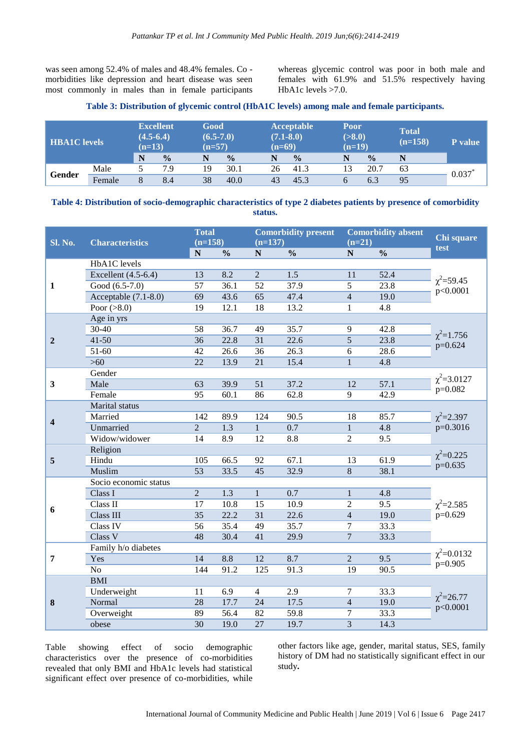was seen among 52.4% of males and 48.4% females. Co morbidities like depression and heart disease was seen most commonly in males than in female participants

whereas glycemic control was poor in both male and females with 61.9% and 51.5% respectively having HbA1c levels >7.0.

#### **Table 3: Distribution of glycemic control (HbA1C levels) among male and female participants.**

| <b>HBA1C</b> levels |        | N | <b>Excellent</b><br>$(4.5-6.4)$<br>$(n=13)$<br>$\frac{0}{0}$ |    | Good<br>$(6.5-7.0)$<br>$(n=57)$<br>$\frac{0}{0}$ |    | <b>Acceptable</b><br>$(7.1 - 8.0)$<br>$(n=69)$<br>$\frac{0}{0}$<br>N |  | <b>Poor</b><br>( > 8.0)<br>$(n=19)$<br>$\frac{0}{0}$ | <b>Total</b><br>$(n=158)$ | <b>P</b> value |
|---------------------|--------|---|--------------------------------------------------------------|----|--------------------------------------------------|----|----------------------------------------------------------------------|--|------------------------------------------------------|---------------------------|----------------|
| Gender              | Male   |   | 7.9                                                          | 19 | 30.1                                             | 26 | 41.3                                                                 |  | 20.7                                                 | 63                        |                |
|                     | Female | 8 | 8.4                                                          | 38 | 40.0                                             | 43 | 45.3                                                                 |  | 6.3                                                  | 95                        | 0.037          |

# **Table 4: Distribution of socio-demographic characteristics of type 2 diabetes patients by presence of comorbidity status.**

|                         | <b>Characteristics</b> | <b>Total</b>    |                  |                 | <b>Comorbidity present</b> |                          | <b>Comorbidity absent</b> | Chi square<br>test               |  |  |  |  |  |  |
|-------------------------|------------------------|-----------------|------------------|-----------------|----------------------------|--------------------------|---------------------------|----------------------------------|--|--|--|--|--|--|
| <b>Sl. No.</b>          |                        | $(n=158)$       |                  |                 | $(n=137)$                  |                          | $(n=21)$                  |                                  |  |  |  |  |  |  |
|                         | HbA1C levels           | ${\bf N}$       | $\frac{0}{0}$    | ${\bf N}$       | $\frac{0}{0}$              | N                        | $\frac{0}{0}$             |                                  |  |  |  |  |  |  |
| $\mathbf{1}$            | Excellent (4.5-6.4)    | 13              | 8.2              | $\overline{2}$  | $\overline{1.5}$           | 11                       | 52.4                      |                                  |  |  |  |  |  |  |
|                         | Good (6.5-7.0)         | 57              | 36.1             | 52              | 37.9                       | 5                        | 23.8                      | $\chi^2$ =59.45                  |  |  |  |  |  |  |
|                         | Acceptable $(7.1-8.0)$ | 69              | 43.6             | 65              | 47.4                       | $\overline{4}$           | 19.0                      | p<0.0001                         |  |  |  |  |  |  |
|                         | Poor $( > 8.0)$        | 19              | 12.1             | 18              | 13.2                       | 1                        | 4.8                       |                                  |  |  |  |  |  |  |
|                         | Age in yrs             |                 |                  |                 |                            |                          |                           |                                  |  |  |  |  |  |  |
|                         | 30-40                  | 58              | 36.7             | 49              | 35.7                       | 9                        | 42.8                      |                                  |  |  |  |  |  |  |
|                         | $41 - 50$              | 36              | 22.8             | 31              | 22.6                       | 5                        | 23.8                      | $\chi^2$ =1.756                  |  |  |  |  |  |  |
| $\boldsymbol{2}$        | 51-60                  | 42              | 26.6             |                 | 26.3                       |                          | 28.6                      | $p=0.624$                        |  |  |  |  |  |  |
|                         | $>60$                  | 22              | 13.9             | 36<br>21        | 15.4                       | 6<br>$\mathbf{1}$        | 4.8                       |                                  |  |  |  |  |  |  |
|                         | Gender                 |                 |                  |                 |                            |                          |                           |                                  |  |  |  |  |  |  |
| $\mathbf{3}$            | Male                   | 63              | 39.9             | 51              | 37.2                       | 12                       | 57.1                      | $\chi^2 = 3.0127$                |  |  |  |  |  |  |
|                         | Female                 | $\overline{95}$ | 60.1             | 86              | 62.8                       |                          |                           | $p=0.082$                        |  |  |  |  |  |  |
|                         | Marital status         |                 |                  |                 |                            | 9<br>42.9                |                           |                                  |  |  |  |  |  |  |
|                         |                        | 142             |                  | 124             | 90.5                       |                          | 85.7                      |                                  |  |  |  |  |  |  |
| $\overline{\mathbf{4}}$ | Married                |                 | 89.9             |                 |                            | 18                       |                           | $\chi^2$ =2.397<br>$\mu$ =0.3016 |  |  |  |  |  |  |
|                         | Unmarried              | $\overline{2}$  | $\overline{1.3}$ | $\mathbf{1}$    | 0.7                        | $\mathbf{1}$             | 4.8                       |                                  |  |  |  |  |  |  |
|                         | Widow/widower          | 14              | 8.9              | 12              | 8.8                        | $\overline{2}$           | 9.5                       |                                  |  |  |  |  |  |  |
|                         | Religion               |                 |                  |                 |                            |                          |                           | $\chi^2 = 0.225$                 |  |  |  |  |  |  |
| 5                       | Hindu                  | 105             | 66.5             | 92              | 67.1                       | 13                       | 61.9                      | $p=0.635$                        |  |  |  |  |  |  |
|                         | Muslim                 | 53              | 33.5             | 45              | 32.9                       | 8                        | 38.1                      |                                  |  |  |  |  |  |  |
|                         | Socio economic status  |                 |                  |                 |                            |                          |                           |                                  |  |  |  |  |  |  |
|                         | Class I                | $\overline{2}$  | 1.3              | $\mathbf{1}$    | 0.7                        | $\mathbf{1}$             | 4.8                       |                                  |  |  |  |  |  |  |
| 6                       | Class II               | 17              | 10.8             | 15              | 10.9                       | $\overline{2}$           | 9.5                       | $\chi^2$ =2.585                  |  |  |  |  |  |  |
|                         | Class III              | 35              | 22.2             | 31              | 22.6                       | $\overline{\mathcal{L}}$ | 19.0                      | p=0.629                          |  |  |  |  |  |  |
|                         | Class IV               | 56              | 35.4             | 49              | 35.7                       | 7                        | 33.3                      |                                  |  |  |  |  |  |  |
|                         | Class V                | 48              | 30.4             | $\overline{41}$ | 29.9                       | $\overline{7}$           | 33.3                      |                                  |  |  |  |  |  |  |
| 7                       | Family h/o diabetes    |                 |                  |                 |                            |                          |                           | $\chi^2$ =0.0132                 |  |  |  |  |  |  |
|                         | Yes                    | 14              | 8.8              | $\overline{12}$ | 8.7                        | $\overline{2}$           | 9.5                       | $p=0.905$                        |  |  |  |  |  |  |
|                         | No                     | 144             | 91.2             | 125             | 91.3                       | 19                       | 90.5                      |                                  |  |  |  |  |  |  |
|                         | <b>BMI</b>             |                 |                  |                 |                            |                          |                           |                                  |  |  |  |  |  |  |
| 8                       | Underweight            | 11              | 6.9              | $\overline{4}$  | 2.9                        | 7                        | 33.3                      | $\chi^2 = 26.77$<br>p<0.0001     |  |  |  |  |  |  |
|                         | Normal                 | $\overline{28}$ | 17.7             | $\overline{24}$ | 17.5                       | $\overline{4}$           | 19.0                      |                                  |  |  |  |  |  |  |
|                         | Overweight             | 89              | 56.4             | 82              | 59.8                       | 7                        | 33.3                      |                                  |  |  |  |  |  |  |
|                         | obese                  | $\overline{30}$ | 19.0             | $\overline{27}$ | 19.7                       | $\overline{3}$           | 14.3                      |                                  |  |  |  |  |  |  |

Table showing effect of socio demographic characteristics over the presence of co-morbidities revealed that only BMI and HbA1c levels had statistical significant effect over presence of co-morbidities, while

other factors like age, gender, marital status, SES, family history of DM had no statistically significant effect in our study**.**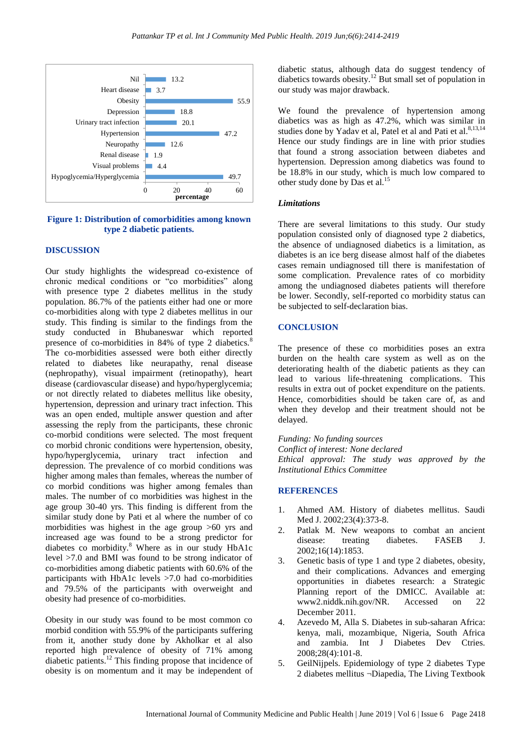

#### **Figure 1: Distribution of comorbidities among known type 2 diabetic patients.**

#### **DISCUSSION**

Our study highlights the widespread co-existence of chronic medical conditions or "co morbidities" along with presence type 2 diabetes mellitus in the study population. 86.7% of the patients either had one or more co-morbidities along with type 2 diabetes mellitus in our study. This finding is similar to the findings from the study conducted in Bhubaneswar which reported presence of co-morbidities in 84% of type 2 diabetics.<sup>8</sup> The co-morbidities assessed were both either directly related to diabetes like neurapathy, renal disease (nephropathy), visual impairment (retinopathy), heart disease (cardiovascular disease) and hypo/hyperglycemia; or not directly related to diabetes mellitus like obesity, hypertension, depression and urinary tract infection. This was an open ended, multiple answer question and after assessing the reply from the participants, these chronic co-morbid conditions were selected. The most frequent co morbid chronic conditions were hypertension, obesity, hypo/hyperglycemia, urinary tract infection and depression. The prevalence of co morbid conditions was higher among males than females, whereas the number of co morbid conditions was higher among females than males. The number of co morbidities was highest in the age group 30-40 yrs. This finding is different from the similar study done by Pati et al where the number of co morbidities was highest in the age group >60 yrs and increased age was found to be a strong predictor for diabetes co morbidity.<sup>8</sup> Where as in our study HbA1c level >7.0 and BMI was found to be strong indicator of co-morbidities among diabetic patients with 60.6% of the participants with HbA1c levels >7.0 had co-morbidities and 79.5% of the participants with overweight and obesity had presence of co-morbidities.

Obesity in our study was found to be most common co morbid condition with 55.9% of the participants suffering from it, another study done by Akholkar et al also reported high prevalence of obesity of 71% among diabetic patients.<sup>12</sup> This finding propose that incidence of obesity is on momentum and it may be independent of diabetic status, although data do suggest tendency of diabetics towards obesity.<sup>12</sup> But small set of population in our study was major drawback.

We found the prevalence of hypertension among diabetics was as high as 47.2%, which was similar in studies done by Yadav et al, Patel et al and Pati et al.<sup>8,13,14</sup> Hence our study findings are in line with prior studies that found a strong association between diabetes and hypertension. Depression among diabetics was found to be 18.8% in our study, which is much low compared to other study done by Das et al.<sup>15</sup>

#### *Limitations*

There are several limitations to this study. Our study population consisted only of diagnosed type 2 diabetics, the absence of undiagnosed diabetics is a limitation, as diabetes is an ice berg disease almost half of the diabetes cases remain undiagnosed till there is manifestation of some complication. Prevalence rates of co morbidity among the undiagnosed diabetes patients will therefore be lower. Secondly, self-reported co morbidity status can be subjected to self-declaration bias.

## **CONCLUSION**

The presence of these co morbidities poses an extra burden on the health care system as well as on the deteriorating health of the diabetic patients as they can lead to various life-threatening complications. This results in extra out of pocket expenditure on the patients. Hence, comorbidities should be taken care of, as and when they develop and their treatment should not be delayed.

*Funding: No funding sources Conflict of interest: None declared Ethical approval: The study was approved by the Institutional Ethics Committee*

## **REFERENCES**

- 1. Ahmed AM. History of diabetes mellitus. Saudi Med J. 2002;23(4):373-8.
- 2. Patlak M. New weapons to combat an ancient disease: treating diabetes. FASEB J. 2002;16(14):1853.
- 3. Genetic basis of type 1 and type 2 diabetes, obesity, and their complications. Advances and emerging opportunities in diabetes research: a Strategic Planning report of the DMICC. Available at: www2.niddk.nih.gov/NR. Accessed on 22 December 2011.
- 4. Azevedo M, Alla S. Diabetes in sub-saharan Africa: kenya, mali, mozambique, Nigeria, South Africa and zambia. Int J Diabetes Dev Ctries. 2008;28(4):101-8.
- 5. GeilNijpels. Epidemiology of type 2 diabetes Type 2 diabetes mellitus ¬Diapedia, The Living Textbook